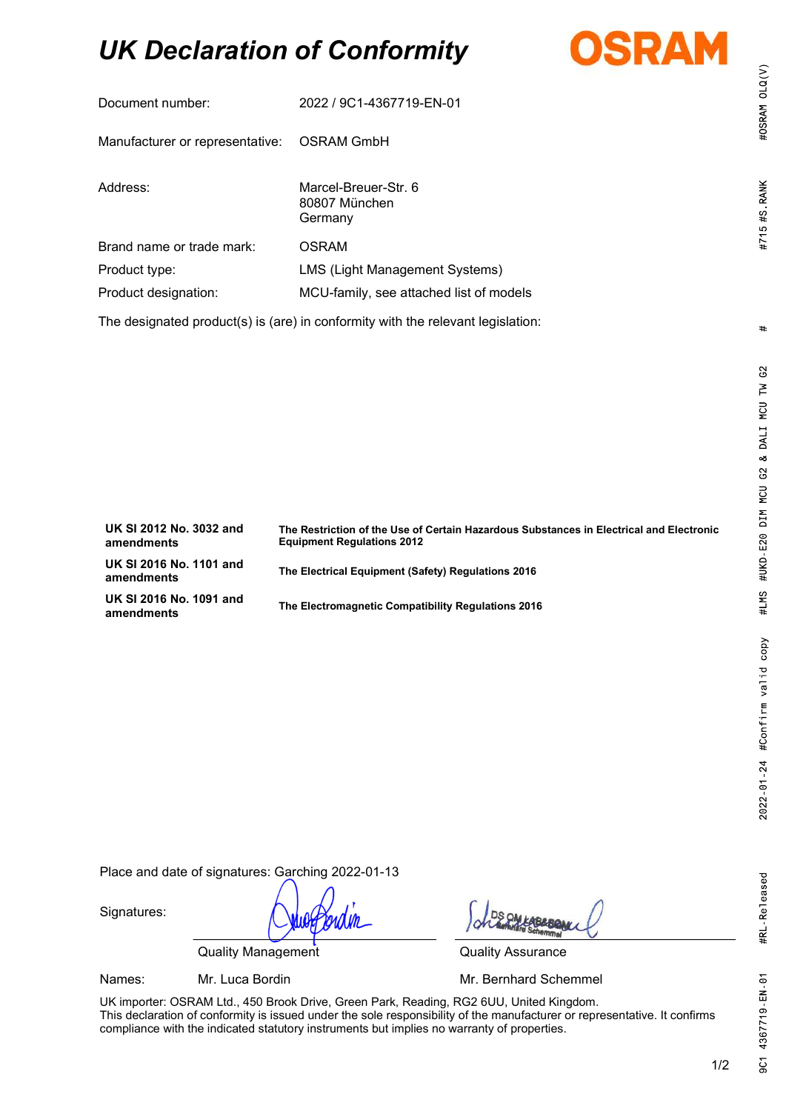# UK Declaration of Conformity



| Document number:                                                                | 2022 / 9C1-4367719-EN-01                         |  |
|---------------------------------------------------------------------------------|--------------------------------------------------|--|
| Manufacturer or representative: OSRAM GmbH                                      |                                                  |  |
| Address:                                                                        | Marcel-Breuer-Str. 6<br>80807 München<br>Germany |  |
| Brand name or trade mark:                                                       | <b>OSRAM</b>                                     |  |
| Product type:                                                                   | LMS (Light Management Systems)                   |  |
| Product designation:                                                            | MCU-family, see attached list of models          |  |
| The designated product(s) is (are) in conformity with the relevant legislation: |                                                  |  |

| UK SI 2012 No. 3032 and<br>amendments | The Restriction of the Use of Certain Hazardous Substances in Electrical and Electronic<br><b>Equipment Regulations 2012</b> |
|---------------------------------------|------------------------------------------------------------------------------------------------------------------------------|
| UK SI 2016 No. 1101 and<br>amendments | The Electrical Equipment (Safety) Regulations 2016                                                                           |
| UK SI 2016 No. 1091 and<br>amendments | The Electromagnetic Compatibility Regulations 2016                                                                           |

Place and date of signatures: Garching 2022-01-13

Signatures:

Quality Management **Quality Assurance** 

Names: Mr. Luca Bordin Mr. **Mr. Bernhard Schemmel** 

UK importer: OSRAM Ltd., 450 Brook Drive, Green Park, Reading, RG2 6UU, United Kingdom. This declaration of conformity is issued under the sole responsibility of the manufacturer or representative. It confirms compliance with the indicated statutory instruments but implies no warranty of properties.

#OSRAM OLQ(V)

#715 #S RANK